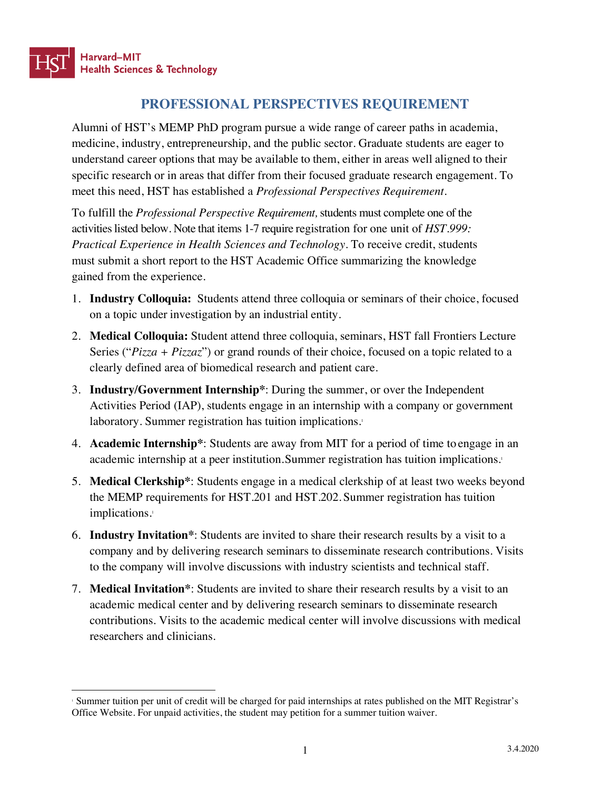## **PROFESSIONAL PERSPECTIVES REQUIREMENT**

Alumni of HST's MEMP PhD program pursue a wide range of career paths in academia, medicine, industry, entrepreneurship, and the public sector. Graduate students are eager to understand career options that may be available to them, either in areas well aligned to their specific research or in areas that differ from their focused graduate research engagement. To meet this need, HST has established a *Professional Perspectives Requirement.*

To fulfill the *Professional Perspective Requirement,* students must complete one of the activitieslisted below. Note that items 1-7 require registration for one unit of *HST.999: Practical Experience in Health Sciences and Technology*. To receive credit, students must submit a short report to the HST Academic Office summarizing the knowledge gained from the experience.

- 1. **Industry Colloquia:** Students attend three colloquia or seminars of their choice, focused on a topic under investigation by an industrial entity.
- 2. **Medical Colloquia:** Student attend three colloquia, seminars, HST fall Frontiers Lecture Series ("*Pizza + Pizzaz*") or grand rounds of their choice, focused on a topic related to a clearly defined area of biomedical research and patient care.
- 3. **Industry/Government Internship\***: During the summer, or over the Independent Activities Period (IAP), students engage in an internship with a company or government laboratory. Summer registration has tuition implications.<sup>1</sup>
- 4. **Academic Internship\***: Students are away from MIT for a period of time to engage in an academic internship at a peer institution.Summer registration has tuition implications.1
- 5. **Medical Clerkship\***: Students engage in a medical clerkship of at least two weeks beyond the MEMP requirements for HST.201 and HST.202. Summer registration has tuition implications.<sup>1</sup>
- 6. **Industry Invitation\***: Students are invited to share their research results by a visit to a company and by delivering research seminars to disseminate research contributions. Visits to the company will involve discussions with industry scientists and technical staff.
- 7. **Medical Invitation\***: Students are invited to share their research results by a visit to an academic medical center and by delivering research seminars to disseminate research contributions. Visits to the academic medical center will involve discussions with medical researchers and clinicians.

 <sup>1</sup> Summer tuition per unit of credit will be charged for paid internships at rates published on the MIT Registrar's Office Website. For unpaid activities, the student may petition for a summer tuition waiver.